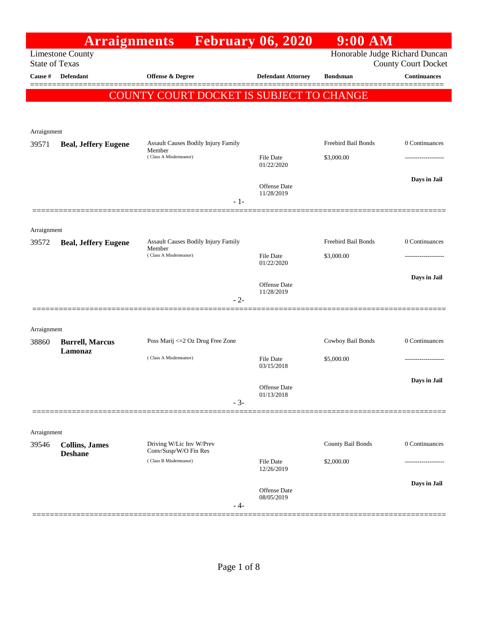| <b>Arraignments</b> February 06, 2020<br>Honorable Judge Richard Duncan<br><b>Limestone County</b><br><b>State of Texas</b><br><b>County Court Docket</b><br>Defendant<br>Offense $\&$ Degree<br>Cause #<br><b>Defendant Attorney</b><br><b>Bondsman</b><br>COUNTY COURT DOCKET IS SUBJECT TO CHANGE<br>Arraignment<br>Freebird Bail Bonds<br>Assault Causes Bodily Injury Family<br>39571<br><b>Beal, Jeffery Eugene</b><br>Member<br>(Class A Misdemeanor)<br>\$3,000.00<br>File Date<br>01/22/2020<br><b>Offense</b> Date<br>11/28/2019<br>$-1-$<br>Arraignment<br>Freebird Bail Bonds<br>Assault Causes Bodily Injury Family<br><b>Beal, Jeffery Eugene</b><br>39572<br>Member<br>(Class A Misdemeanor)<br>\$3,000.00<br>File Date<br>01/22/2020<br><b>Offense</b> Date | <b>Continuances</b> |
|-----------------------------------------------------------------------------------------------------------------------------------------------------------------------------------------------------------------------------------------------------------------------------------------------------------------------------------------------------------------------------------------------------------------------------------------------------------------------------------------------------------------------------------------------------------------------------------------------------------------------------------------------------------------------------------------------------------------------------------------------------------------------------|---------------------|
|                                                                                                                                                                                                                                                                                                                                                                                                                                                                                                                                                                                                                                                                                                                                                                             |                     |
|                                                                                                                                                                                                                                                                                                                                                                                                                                                                                                                                                                                                                                                                                                                                                                             |                     |
|                                                                                                                                                                                                                                                                                                                                                                                                                                                                                                                                                                                                                                                                                                                                                                             |                     |
|                                                                                                                                                                                                                                                                                                                                                                                                                                                                                                                                                                                                                                                                                                                                                                             |                     |
|                                                                                                                                                                                                                                                                                                                                                                                                                                                                                                                                                                                                                                                                                                                                                                             |                     |
|                                                                                                                                                                                                                                                                                                                                                                                                                                                                                                                                                                                                                                                                                                                                                                             | 0 Continuances      |
|                                                                                                                                                                                                                                                                                                                                                                                                                                                                                                                                                                                                                                                                                                                                                                             | ------------------  |
|                                                                                                                                                                                                                                                                                                                                                                                                                                                                                                                                                                                                                                                                                                                                                                             |                     |
|                                                                                                                                                                                                                                                                                                                                                                                                                                                                                                                                                                                                                                                                                                                                                                             | Days in Jail        |
|                                                                                                                                                                                                                                                                                                                                                                                                                                                                                                                                                                                                                                                                                                                                                                             |                     |
|                                                                                                                                                                                                                                                                                                                                                                                                                                                                                                                                                                                                                                                                                                                                                                             |                     |
|                                                                                                                                                                                                                                                                                                                                                                                                                                                                                                                                                                                                                                                                                                                                                                             |                     |
|                                                                                                                                                                                                                                                                                                                                                                                                                                                                                                                                                                                                                                                                                                                                                                             | 0 Continuances      |
|                                                                                                                                                                                                                                                                                                                                                                                                                                                                                                                                                                                                                                                                                                                                                                             |                     |
|                                                                                                                                                                                                                                                                                                                                                                                                                                                                                                                                                                                                                                                                                                                                                                             | Days in Jail        |
| 11/28/2019<br>$-2-$                                                                                                                                                                                                                                                                                                                                                                                                                                                                                                                                                                                                                                                                                                                                                         |                     |
|                                                                                                                                                                                                                                                                                                                                                                                                                                                                                                                                                                                                                                                                                                                                                                             |                     |
| Arraignment                                                                                                                                                                                                                                                                                                                                                                                                                                                                                                                                                                                                                                                                                                                                                                 |                     |
| Cowboy Bail Bonds<br>Poss Marij <= 2 Oz Drug Free Zone<br>38860<br><b>Burrell, Marcus</b>                                                                                                                                                                                                                                                                                                                                                                                                                                                                                                                                                                                                                                                                                   | 0 Continuances      |
| Lamonaz<br>(Class A Misdemeanor)<br>File Date<br>\$5,000.00                                                                                                                                                                                                                                                                                                                                                                                                                                                                                                                                                                                                                                                                                                                 |                     |
| 03/15/2018                                                                                                                                                                                                                                                                                                                                                                                                                                                                                                                                                                                                                                                                                                                                                                  |                     |
| Offense Date<br>01/13/2018                                                                                                                                                                                                                                                                                                                                                                                                                                                                                                                                                                                                                                                                                                                                                  | Days in Jail        |
| $-3-$                                                                                                                                                                                                                                                                                                                                                                                                                                                                                                                                                                                                                                                                                                                                                                       |                     |
|                                                                                                                                                                                                                                                                                                                                                                                                                                                                                                                                                                                                                                                                                                                                                                             |                     |
| Arraignment                                                                                                                                                                                                                                                                                                                                                                                                                                                                                                                                                                                                                                                                                                                                                                 |                     |
| Driving W/Lic Inv W/Prev<br>County Bail Bonds<br>39546<br><b>Collins, James</b><br>Conv/Susp/W/O Fin Res<br><b>Deshane</b>                                                                                                                                                                                                                                                                                                                                                                                                                                                                                                                                                                                                                                                  | 0 Continuances      |
| (Class B Misdemeanor)<br>File Date<br>\$2,000.00<br>12/26/2019                                                                                                                                                                                                                                                                                                                                                                                                                                                                                                                                                                                                                                                                                                              |                     |
|                                                                                                                                                                                                                                                                                                                                                                                                                                                                                                                                                                                                                                                                                                                                                                             |                     |
| <b>Offense Date</b><br>08/05/2019                                                                                                                                                                                                                                                                                                                                                                                                                                                                                                                                                                                                                                                                                                                                           | Days in Jail        |
| - 4-                                                                                                                                                                                                                                                                                                                                                                                                                                                                                                                                                                                                                                                                                                                                                                        |                     |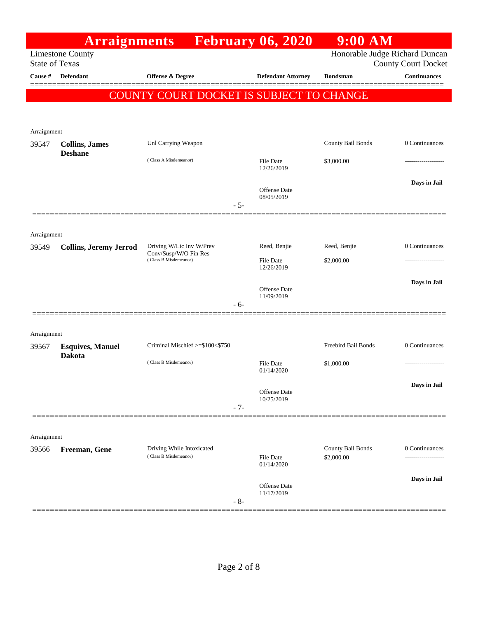|                       | <b>Arraignments</b>                     |                                                   | <b>February 06, 2020</b>          | $9:00$ AM                      |                            |
|-----------------------|-----------------------------------------|---------------------------------------------------|-----------------------------------|--------------------------------|----------------------------|
| <b>State of Texas</b> | <b>Limestone County</b>                 |                                                   |                                   | Honorable Judge Richard Duncan | <b>County Court Docket</b> |
| Cause #               | <b>Defendant</b>                        | <b>Offense &amp; Degree</b>                       | <b>Defendant Attorney</b>         | <b>Bondsman</b>                | <b>Continuances</b>        |
|                       |                                         | COUNTY COURT DOCKET IS SUBJECT TO CHANGE          |                                   |                                |                            |
|                       |                                         |                                                   |                                   |                                |                            |
| Arraignment           |                                         |                                                   |                                   |                                |                            |
| 39547                 | <b>Collins, James</b><br><b>Deshane</b> | Unl Carrying Weapon                               |                                   | County Bail Bonds              | 0 Continuances             |
|                       |                                         | (Class A Misdemeanor)                             | <b>File Date</b><br>12/26/2019    | \$3,000.00                     |                            |
|                       |                                         | $-5-$                                             | <b>Offense Date</b><br>08/05/2019 |                                | Days in Jail               |
|                       |                                         |                                                   |                                   |                                |                            |
| Arraignment           |                                         |                                                   |                                   |                                |                            |
| 39549                 | <b>Collins, Jeremy Jerrod</b>           | Driving W/Lic Inv W/Prev<br>Conv/Susp/W/O Fin Res | Reed, Benjie                      | Reed, Benjie                   | 0 Continuances             |
|                       |                                         | (Class B Misdemeanor)                             | <b>File Date</b><br>12/26/2019    | \$2,000.00                     |                            |
|                       |                                         |                                                   |                                   |                                | Days in Jail               |
|                       |                                         |                                                   | <b>Offense</b> Date<br>11/09/2019 |                                |                            |
|                       |                                         | $-6-$                                             |                                   |                                |                            |
| Arraignment           |                                         |                                                   |                                   |                                |                            |
| 39567                 | <b>Esquives, Manuel</b>                 | Criminal Mischief >=\$100<\$750                   |                                   | Freebird Bail Bonds            | 0 Continuances             |
|                       | <b>Dakota</b>                           | (Class B Misdemeanor)                             | <b>File Date</b><br>01/14/2020    | \$1,000.00                     | .                          |
|                       |                                         |                                                   |                                   |                                | Days in Jail               |
|                       |                                         | $-7-$                                             | Offense Date<br>10/25/2019        |                                |                            |
|                       |                                         |                                                   |                                   |                                |                            |
| Arraignment           |                                         |                                                   |                                   |                                |                            |
| 39566                 | Freeman, Gene                           | Driving While Intoxicated                         |                                   | County Bail Bonds              | 0 Continuances             |
|                       |                                         | (Class B Misdemeanor)                             | <b>File Date</b><br>01/14/2020    | \$2,000.00                     | .                          |
|                       |                                         |                                                   | Offense Date                      |                                | Days in Jail               |
|                       |                                         | $-8-$                                             | 11/17/2019                        |                                |                            |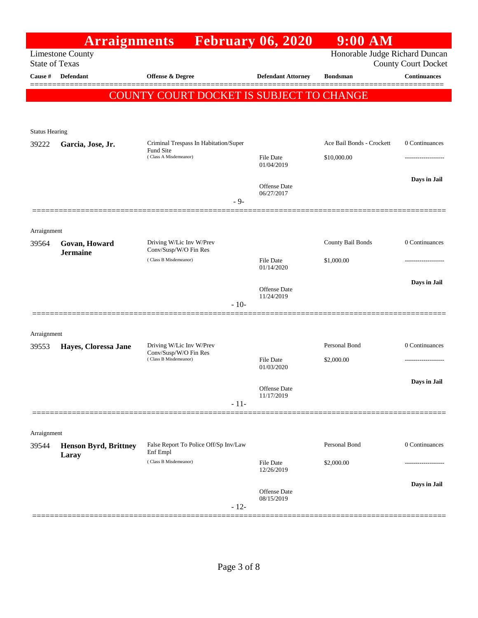|                                | <b>Arraignments</b>          | February 06, 2020                                 |                                   | $9:00$ AM                      |                            |
|--------------------------------|------------------------------|---------------------------------------------------|-----------------------------------|--------------------------------|----------------------------|
| <b>State of Texas</b>          | <b>Limestone County</b>      |                                                   |                                   | Honorable Judge Richard Duncan | <b>County Court Docket</b> |
| Cause #                        | <b>Defendant</b>             | Offense & Degree                                  | <b>Defendant Attorney</b>         | <b>Bondsman</b>                | <b>Continuances</b>        |
|                                |                              | COUNTY COURT DOCKET IS SUBJECT TO CHANGE          |                                   |                                |                            |
|                                |                              |                                                   |                                   |                                |                            |
|                                |                              |                                                   |                                   |                                |                            |
| <b>Status Hearing</b><br>39222 | Garcia, Jose, Jr.            | Criminal Trespass In Habitation/Super             |                                   | Ace Bail Bonds - Crockett      | 0 Continuances             |
|                                |                              | Fund Site<br>(Class A Misdemeanor)                | <b>File Date</b><br>01/04/2019    | \$10,000.00                    |                            |
|                                |                              |                                                   |                                   |                                | Days in Jail               |
|                                |                              |                                                   | <b>Offense</b> Date<br>06/27/2017 |                                |                            |
|                                |                              | $-9-$                                             |                                   |                                |                            |
|                                |                              |                                                   |                                   |                                |                            |
| Arraignment<br>39564           | Govan, Howard                | Driving W/Lic Inv W/Prev                          |                                   | County Bail Bonds              | 0 Continuances             |
|                                | <b>Jermaine</b>              | Conv/Susp/W/O Fin Res<br>(Class B Misdemeanor)    | File Date                         | \$1,000.00                     |                            |
|                                |                              |                                                   | 01/14/2020                        |                                |                            |
|                                |                              |                                                   | Offense Date                      |                                | Days in Jail               |
|                                |                              | $-10-$                                            | 11/24/2019                        |                                |                            |
|                                |                              |                                                   |                                   |                                |                            |
| Arraignment                    |                              |                                                   |                                   |                                |                            |
| 39553                          | Hayes, Cloressa Jane         | Driving W/Lic Inv W/Prev<br>Conv/Susp/W/O Fin Res |                                   | Personal Bond                  | 0 Continuances             |
|                                |                              | (Class B Misdemeanor)                             | File Date<br>01/03/2020           | \$2,000.00                     | ----------------           |
|                                |                              |                                                   | Offense Date                      |                                | Days in Jail               |
|                                |                              | $-11-$                                            | 11/17/2019                        |                                |                            |
|                                |                              |                                                   |                                   |                                |                            |
| Arraignment                    |                              |                                                   |                                   |                                |                            |
| 39544                          | <b>Henson Byrd, Brittney</b> | False Report To Police Off/Sp Inv/Law<br>Enf Empl |                                   | Personal Bond                  | 0 Continuances             |
|                                | Laray                        | (Class B Misdemeanor)                             | File Date<br>12/26/2019           | \$2,000.00                     |                            |
|                                |                              |                                                   | <b>Offense</b> Date               |                                | Days in Jail               |
|                                |                              | $-12-$                                            | 08/15/2019                        |                                |                            |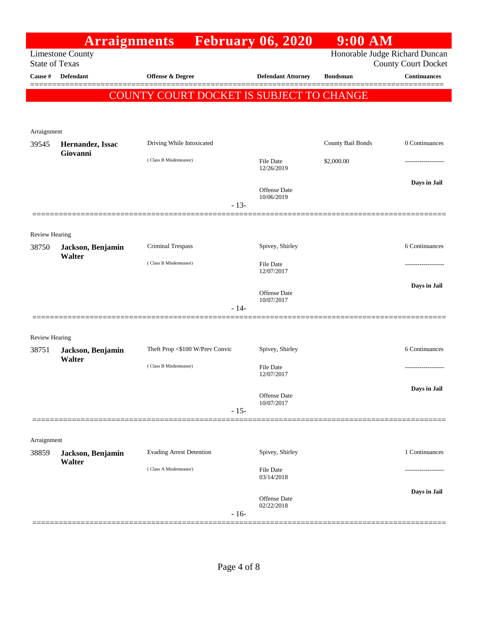|                                  | <b>Arraignments</b>                |                                          | <b>February 06, 2020</b>          | $9:00$ AM         |                                                   |
|----------------------------------|------------------------------------|------------------------------------------|-----------------------------------|-------------------|---------------------------------------------------|
|                                  | <b>Limestone County</b>            |                                          |                                   |                   | Honorable Judge Richard Duncan                    |
| <b>State of Texas</b><br>Cause # | Defendant                          | Offense & Degree                         | <b>Defendant Attorney</b>         | <b>Bondsman</b>   | <b>County Court Docket</b><br><b>Continuances</b> |
|                                  |                                    |                                          |                                   |                   |                                                   |
|                                  |                                    | COUNTY COURT DOCKET IS SUBJECT TO CHANGE |                                   |                   |                                                   |
|                                  |                                    |                                          |                                   |                   |                                                   |
| Arraignment                      |                                    |                                          |                                   |                   |                                                   |
| 39545                            | Hernandez, Issac                   | Driving While Intoxicated                |                                   | County Bail Bonds | 0 Continuances                                    |
|                                  | Giovanni                           | (Class B Misdemeanor)                    | File Date                         | \$2,000.00        |                                                   |
|                                  |                                    |                                          | 12/26/2019                        |                   |                                                   |
|                                  |                                    |                                          | <b>Offense Date</b>               |                   | Days in Jail                                      |
|                                  |                                    | $-13-$                                   | 10/06/2019                        |                   |                                                   |
|                                  |                                    |                                          |                                   |                   |                                                   |
|                                  |                                    |                                          |                                   |                   |                                                   |
| <b>Review Hearing</b><br>38750   | Jackson, Benjamin                  | Criminal Trespass                        | Spivey, Shirley                   |                   | 6 Continuances                                    |
|                                  | Walter                             |                                          |                                   |                   |                                                   |
|                                  |                                    | (Class B Misdemeanor)                    | <b>File Date</b><br>12/07/2017    |                   |                                                   |
|                                  |                                    |                                          |                                   |                   | Days in Jail                                      |
|                                  |                                    |                                          | Offense Date<br>10/07/2017        |                   |                                                   |
|                                  |                                    | $-14-$                                   |                                   |                   |                                                   |
|                                  |                                    |                                          |                                   |                   |                                                   |
| <b>Review Hearing</b>            |                                    | Theft Prop <\$100 W/Prev Convic          |                                   |                   | 6 Continuances                                    |
| 38751                            | Jackson, Benjamin<br>Walter        |                                          | Spivey, Shirley                   |                   |                                                   |
|                                  |                                    | (Class B Misdemeanor)                    | File Date<br>12/07/2017           |                   | .                                                 |
|                                  |                                    |                                          |                                   |                   | Days in Jail                                      |
|                                  |                                    |                                          | <b>Offense Date</b><br>10/07/2017 |                   |                                                   |
|                                  |                                    | $-15-$                                   |                                   |                   |                                                   |
|                                  |                                    |                                          |                                   |                   |                                                   |
| Arraignment                      |                                    |                                          |                                   |                   |                                                   |
| 38859                            | Jackson, Benjamin<br><b>Walter</b> | <b>Evading Arrest Detention</b>          | Spivey, Shirley                   |                   | 1 Continuances                                    |
|                                  |                                    | (Class A Misdemeanor)                    | File Date<br>03/14/2018           |                   |                                                   |
|                                  |                                    |                                          |                                   |                   |                                                   |
|                                  |                                    |                                          | <b>Offense Date</b>               |                   | Days in Jail                                      |
|                                  |                                    | $-16-$                                   | 02/22/2018                        |                   |                                                   |
|                                  |                                    |                                          |                                   |                   |                                                   |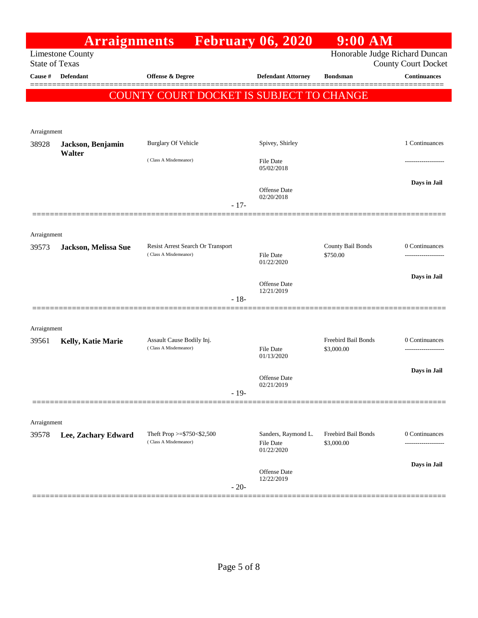|                                                                                                                  | <b>Arraignments</b>         |                                                            | <b>February 06, 2020</b>                              | $9:00$ AM                         |                     |  |
|------------------------------------------------------------------------------------------------------------------|-----------------------------|------------------------------------------------------------|-------------------------------------------------------|-----------------------------------|---------------------|--|
| Honorable Judge Richard Duncan<br><b>Limestone County</b><br><b>State of Texas</b><br><b>County Court Docket</b> |                             |                                                            |                                                       |                                   |                     |  |
| Cause #                                                                                                          | Defendant                   | <b>Offense &amp; Degree</b>                                | <b>Defendant Attorney</b>                             | <b>Bondsman</b>                   | <b>Continuances</b> |  |
|                                                                                                                  |                             |                                                            |                                                       |                                   |                     |  |
|                                                                                                                  |                             | COUNTY COURT DOCKET IS SUBJECT TO CHANGE                   |                                                       |                                   |                     |  |
|                                                                                                                  |                             |                                                            |                                                       |                                   |                     |  |
| Arraignment                                                                                                      |                             |                                                            |                                                       |                                   |                     |  |
| 38928                                                                                                            | Jackson, Benjamin<br>Walter | Burglary Of Vehicle                                        | Spivey, Shirley                                       |                                   | 1 Continuances      |  |
|                                                                                                                  |                             | (Class A Misdemeanor)                                      | File Date<br>05/02/2018                               |                                   |                     |  |
|                                                                                                                  |                             | $-17-$                                                     | <b>Offense</b> Date<br>02/20/2018                     |                                   | Days in Jail        |  |
|                                                                                                                  |                             |                                                            |                                                       |                                   |                     |  |
| Arraignment                                                                                                      |                             |                                                            |                                                       |                                   |                     |  |
| 39573                                                                                                            | Jackson, Melissa Sue        | Resist Arrest Search Or Transport<br>(Class A Misdemeanor) | File Date<br>01/22/2020                               | County Bail Bonds<br>\$750.00     | 0 Continuances      |  |
|                                                                                                                  |                             |                                                            |                                                       |                                   | Days in Jail        |  |
|                                                                                                                  |                             |                                                            | <b>Offense</b> Date<br>12/21/2019                     |                                   |                     |  |
|                                                                                                                  |                             | $-18-$                                                     |                                                       |                                   |                     |  |
|                                                                                                                  |                             |                                                            |                                                       |                                   |                     |  |
| Arraignment<br>39561                                                                                             | Kelly, Katie Marie          | Assault Cause Bodily Inj.                                  |                                                       | Freebird Bail Bonds               | 0 Continuances      |  |
|                                                                                                                  |                             | (Class A Misdemeanor)                                      | File Date<br>01/13/2020                               | \$3,000.00                        |                     |  |
|                                                                                                                  |                             |                                                            |                                                       |                                   | Days in Jail        |  |
|                                                                                                                  |                             |                                                            | <b>Offense</b> Date<br>02/21/2019                     |                                   |                     |  |
|                                                                                                                  |                             | $-19-$                                                     |                                                       |                                   |                     |  |
|                                                                                                                  |                             |                                                            |                                                       |                                   |                     |  |
| Arraignment                                                                                                      |                             |                                                            |                                                       |                                   |                     |  |
| 39578                                                                                                            | Lee, Zachary Edward         | Theft Prop >= $$750<$2,500$<br>(Class A Misdemeanor)       | Sanders, Raymond L.<br><b>File Date</b><br>01/22/2020 | Freebird Bail Bonds<br>\$3,000.00 | 0 Continuances      |  |
|                                                                                                                  |                             |                                                            |                                                       |                                   | Days in Jail        |  |
|                                                                                                                  |                             | $-20-$                                                     | Offense Date<br>12/22/2019                            |                                   |                     |  |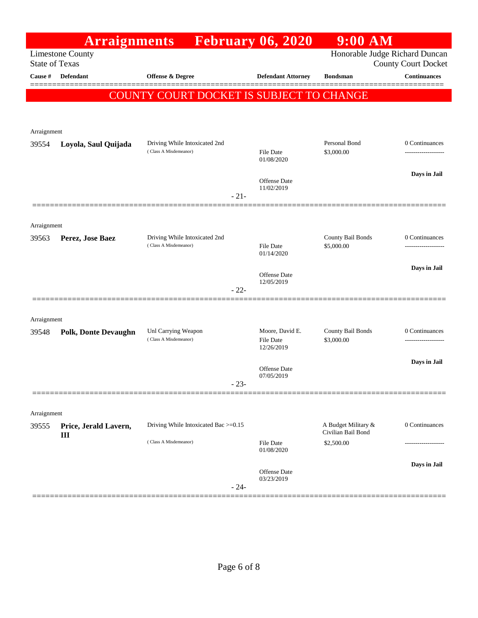|                       | <b>Arraignments</b>         |                                                        |        | <b>February 06, 2020</b>          | $9:00$ AM                                 |                                                   |
|-----------------------|-----------------------------|--------------------------------------------------------|--------|-----------------------------------|-------------------------------------------|---------------------------------------------------|
| <b>State of Texas</b> | <b>Limestone County</b>     |                                                        |        |                                   |                                           | Honorable Judge Richard Duncan                    |
| Cause $\#$            | Defendant                   | Offense & Degree                                       |        | <b>Defendant Attorney</b>         | <b>Bondsman</b>                           | <b>County Court Docket</b><br><b>Continuances</b> |
|                       |                             |                                                        |        |                                   |                                           | =======                                           |
|                       |                             | COUNTY COURT DOCKET IS SUBJECT TO CHANGE               |        |                                   |                                           |                                                   |
|                       |                             |                                                        |        |                                   |                                           |                                                   |
| Arraignment           |                             |                                                        |        |                                   |                                           |                                                   |
| 39554                 | Loyola, Saul Quijada        | Driving While Intoxicated 2nd<br>(Class A Misdemeanor) |        | <b>File Date</b>                  | Personal Bond<br>\$3,000.00               | 0 Continuances                                    |
|                       |                             |                                                        |        | 01/08/2020                        |                                           |                                                   |
|                       |                             |                                                        |        | <b>Offense Date</b>               |                                           | Days in Jail                                      |
|                       |                             |                                                        | $-21-$ | 11/02/2019                        |                                           |                                                   |
|                       |                             |                                                        |        |                                   |                                           |                                                   |
| Arraignment           |                             |                                                        |        |                                   |                                           |                                                   |
| 39563                 | Perez, Jose Baez            | Driving While Intoxicated 2nd                          |        |                                   | County Bail Bonds                         | 0 Continuances                                    |
|                       |                             | (Class A Misdemeanor)                                  |        | <b>File Date</b><br>01/14/2020    | \$5,000.00                                | ------------------                                |
|                       |                             |                                                        |        |                                   |                                           | Days in Jail                                      |
|                       |                             |                                                        |        | <b>Offense Date</b><br>12/05/2019 |                                           |                                                   |
|                       |                             |                                                        | $-22-$ |                                   |                                           |                                                   |
|                       |                             |                                                        |        |                                   |                                           |                                                   |
| Arraignment<br>39548  | <b>Polk, Donte Devaughn</b> | Unl Carrying Weapon                                    |        | Moore, David E.                   | County Bail Bonds                         | 0 Continuances                                    |
|                       |                             | (Class A Misdemeanor)                                  |        | File Date                         | \$3,000.00                                | -------------------                               |
|                       |                             |                                                        |        | 12/26/2019                        |                                           | Days in Jail                                      |
|                       |                             |                                                        |        | Offense Date<br>07/05/2019        |                                           |                                                   |
|                       |                             |                                                        | $-23-$ |                                   |                                           |                                                   |
|                       |                             |                                                        |        |                                   |                                           |                                                   |
| Arraignment           |                             |                                                        |        |                                   |                                           |                                                   |
| 39555                 | Price, Jerald Lavern,<br>Ш  | Driving While Intoxicated Bac >=0.15                   |        |                                   | A Budget Military &<br>Civilian Bail Bond | 0 Continuances                                    |
|                       |                             | (Class A Misdemeanor)                                  |        | <b>File Date</b><br>01/08/2020    | \$2,500.00                                |                                                   |
|                       |                             |                                                        |        |                                   |                                           | Days in Jail                                      |
|                       |                             |                                                        |        | Offense Date<br>03/23/2019        |                                           |                                                   |
|                       |                             |                                                        | $-24-$ |                                   |                                           |                                                   |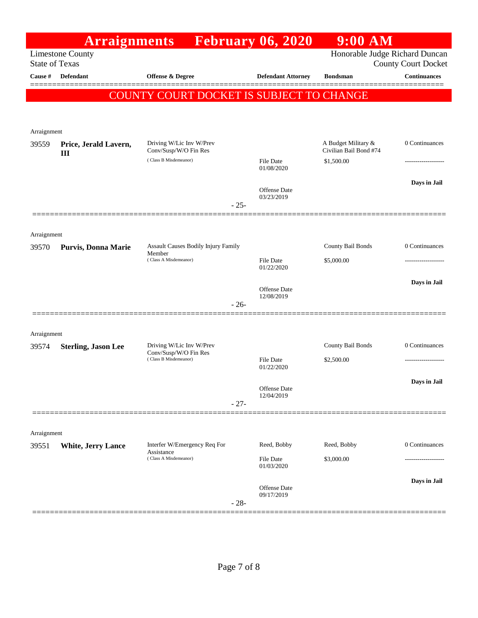|                      | <b>Arraignments</b>                              |                                                   | <b>February 06, 2020</b>          | 9:00 AM                                       |                            |
|----------------------|--------------------------------------------------|---------------------------------------------------|-----------------------------------|-----------------------------------------------|----------------------------|
|                      | <b>Limestone County</b><br><b>State of Texas</b> |                                                   |                                   | Honorable Judge Richard Duncan                | <b>County Court Docket</b> |
| Cause #              | Defendant                                        | Offense & Degree                                  | <b>Defendant Attorney</b>         | <b>Bondsman</b>                               | <b>Continuances</b>        |
|                      |                                                  |                                                   |                                   |                                               |                            |
|                      |                                                  | COUNTY COURT DOCKET IS SUBJECT TO CHANGE          |                                   |                                               |                            |
|                      |                                                  |                                                   |                                   |                                               |                            |
| Arraignment<br>39559 | Price, Jerald Lavern,                            | Driving W/Lic Inv W/Prev<br>Conv/Susp/W/O Fin Res |                                   | A Budget Military &<br>Civilian Bail Bond #74 | 0 Continuances             |
|                      | III                                              | (Class B Misdemeanor)                             | <b>File Date</b><br>01/08/2020    | \$1,500.00                                    | ---------------            |
|                      |                                                  |                                                   | Offense Date                      |                                               | Days in Jail               |
|                      |                                                  | $-25-$                                            | 03/23/2019                        |                                               |                            |
|                      |                                                  |                                                   |                                   |                                               |                            |
| Arraignment<br>39570 | <b>Purvis, Donna Marie</b>                       | Assault Causes Bodily Injury Family<br>Member     |                                   | County Bail Bonds                             | 0 Continuances             |
|                      |                                                  | (Class A Misdemeanor)                             | <b>File Date</b><br>01/22/2020    | \$5,000.00                                    |                            |
|                      |                                                  |                                                   | Offense Date                      |                                               | Days in Jail               |
|                      |                                                  | $-26-$                                            | 12/08/2019                        |                                               |                            |
| Arraignment          |                                                  |                                                   |                                   |                                               |                            |
| 39574                | <b>Sterling, Jason Lee</b>                       | Driving W/Lic Inv W/Prev<br>Conv/Susp/W/O Fin Res |                                   | County Bail Bonds                             | 0 Continuances             |
|                      |                                                  | (Class B Misdemeanor)                             | <b>File Date</b><br>01/22/2020    | \$2,500.00                                    | ----------------           |
|                      |                                                  |                                                   | Offense Date<br>12/04/2019        |                                               | Days in Jail               |
|                      |                                                  | $-27-$                                            |                                   |                                               |                            |
| Arraignment          |                                                  |                                                   |                                   |                                               |                            |
| 39551                | <b>White, Jerry Lance</b>                        | Interfer W/Emergency Req For<br>Assistance        | Reed, Bobby                       | Reed, Bobby                                   | 0 Continuances             |
|                      |                                                  | (Class A Misdemeanor)                             | File Date<br>01/03/2020           | \$3,000.00                                    |                            |
|                      |                                                  |                                                   | <b>Offense Date</b><br>09/17/2019 |                                               | Days in Jail               |
|                      |                                                  | $-28-$                                            |                                   |                                               |                            |